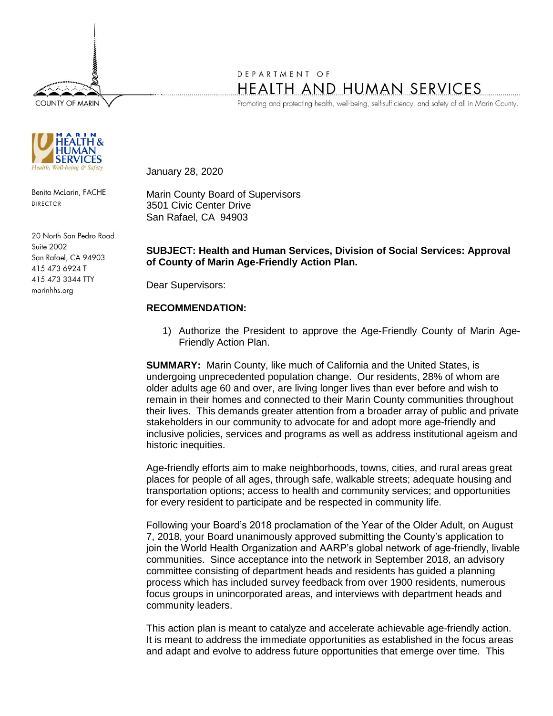**COUNTY OF MARIN** 



Benita McLarin, FACHE **DIRECTOR** 

20 North San Pedro Road Suite 2002 San Rafael, CA 94903 415 473 6924 T 415 473 3344 TTY marinhhs.org

# DEPARTMENT OF HEALTH AND HUMAN SERVICES

Promoting and protecting health, well-being, self-sufficiency, and safety of all in Marin County.

January 28, 2020

Marin County Board of Supervisors 3501 Civic Center Drive San Rafael, CA 94903

# **SUBJECT: Health and Human Services, Division of Social Services: Approval of County of Marin Age-Friendly Action Plan.**

Dear Supervisors:

## **RECOMMENDATION:**

1) Authorize the President to approve the Age-Friendly County of Marin Age-Friendly Action Plan.

**SUMMARY:** Marin County, like much of California and the United States, is undergoing unprecedented population change. Our residents, 28% of whom are older adults age 60 and over, are living longer lives than ever before and wish to remain in their homes and connected to their Marin County communities throughout their lives. This demands greater attention from a broader array of public and private stakeholders in our community to advocate for and adopt more age-friendly and inclusive policies, services and programs as well as address institutional ageism and historic inequities.

Age-friendly efforts aim to make neighborhoods, towns, cities, and rural areas great places for people of all ages, through safe, walkable streets; adequate housing and transportation options; access to health and community services; and opportunities for every resident to participate and be respected in community life.

Following your Board's 2018 proclamation of the Year of the Older Adult, on August 7, 2018, your Board unanimously approved submitting the County's application to join the World Health Organization and AARP's global network of age-friendly, livable communities. Since acceptance into the network in September 2018, an advisory committee consisting of department heads and residents has guided a planning process which has included survey feedback from over 1900 residents, numerous focus groups in unincorporated areas, and interviews with department heads and community leaders.

This action plan is meant to catalyze and accelerate achievable age-friendly action. It is meant to address the immediate opportunities as established in the focus areas and adapt and evolve to address future opportunities that emerge over time. This